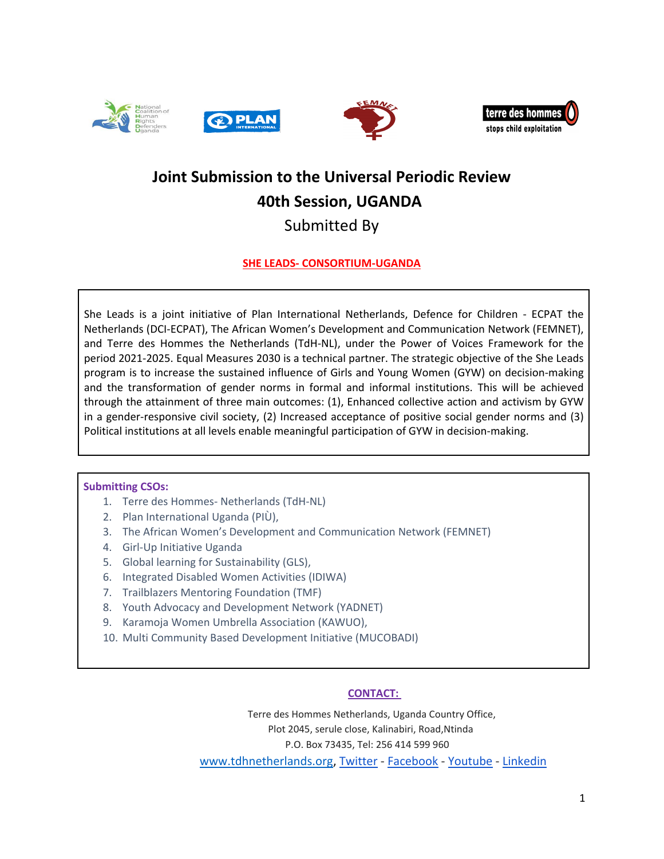



# **Joint Submission to the Universal Periodic Review 40th Session, UGANDA**

## Submitted By

## **SHE LEADS- CONSORTIUM-UGANDA**

She Leads is <sup>a</sup> joint initiative of Plan International Netherlands, Defence for Children - ECPAT the Netherlands (DCI-ECPAT), The African Women'<sup>s</sup> Development and Communication Network (FEMNET), and Terre des Hommes the Netherlands (TdH-NL), under the Power of Voices Framework for the period 2021-2025. Equal Measures 2030 is <sup>a</sup> technical partner. The strategic objective of the She Leads program is to increase the sustained influence of Girls and Young Women (GYW) on decision-making and the transformation of gender norms in formal and informal institutions. This will be achieved through the attainment of three main outcomes: (1), Enhanced collective action and activism by GYW in <sup>a</sup> gender-responsive civil society, (2) Increased acceptance of positive social gender norms and (3) Political institutions at all levels enable meaningful participation of GYW in decision-making.

## **Submitting CSOs:**

- 1. Terre des Hommes- Netherlands (TdH-NL)
- 2. Plan International Uganda (PIÙ),
- 3. The African Women'<sup>s</sup> Development and Communication Network (FEMNET)
- 4. Girl-Up Initiative Uganda
- 5. Global learning for Sustainability (GLS),
- 6. Integrated Disabled Women Activities (IDIWA)
- 7. Trailblazers Mentoring Foundation (TMF)
- 8. Youth Advocacy and Development Network (YADNET)
- 9. Karamoja Women Umbrella Association (KAWUO),
- 10. Multi Community Based Development Initiative (MUCOBADI)

## **CONTACT:**

Terre des Hommes Netherlands, Uganda Country Office, Plot 2045, serule close, Kalinabiri, Road,Ntinda P.O. Box 73435, Tel: 256 414 599 960 [www.tdhnetherlands.org](http://www.tdhnetherlands.org), [Twitter](https://twitter.com/terredeshommes/) - [Facebook](https://www.facebook.com/TdHNLStopsChildExploitation) - [Youtube](https://www.youtube.com/user/terredeshommesNL) - [Linkedin](http://www.linkedin.com/company/terre-des-hommes-netherlands-in-asia)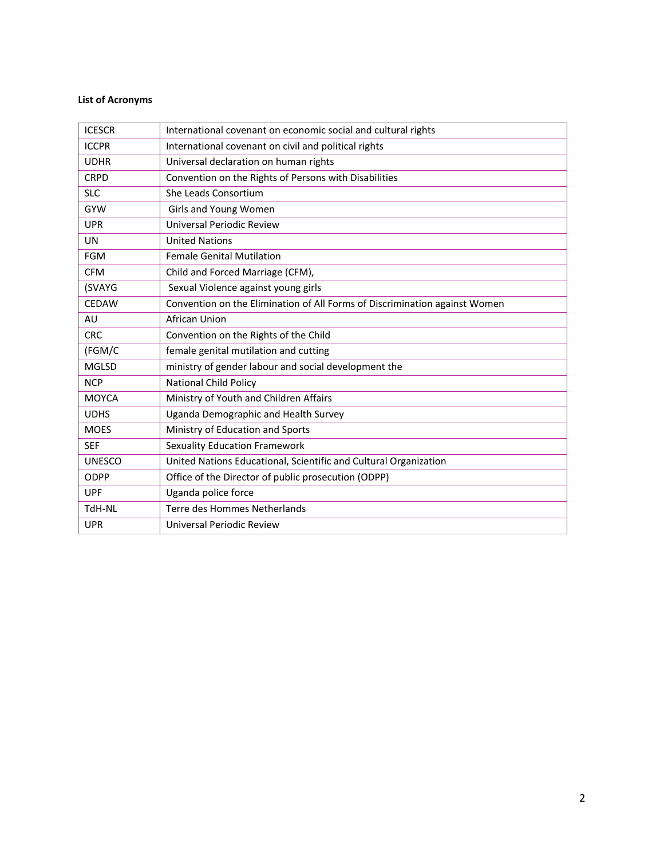## **List of Acronyms**

| <b>ICESCR</b> | International covenant on economic social and cultural rights              |
|---------------|----------------------------------------------------------------------------|
| <b>ICCPR</b>  | International covenant on civil and political rights                       |
| <b>UDHR</b>   | Universal declaration on human rights                                      |
| <b>CRPD</b>   | Convention on the Rights of Persons with Disabilities                      |
| <b>SLC</b>    | She Leads Consortium                                                       |
| <b>GYW</b>    | Girls and Young Women                                                      |
| <b>UPR</b>    | Universal Periodic Review                                                  |
| <b>UN</b>     | <b>United Nations</b>                                                      |
| <b>FGM</b>    | <b>Female Genital Mutilation</b>                                           |
| <b>CFM</b>    | Child and Forced Marriage (CFM),                                           |
| (SVAYG        | Sexual Violence against young girls                                        |
| <b>CEDAW</b>  | Convention on the Elimination of All Forms of Discrimination against Women |
| AU            | African Union                                                              |
| <b>CRC</b>    | Convention on the Rights of the Child                                      |
| (FGM/C        | female genital mutilation and cutting                                      |
| <b>MGLSD</b>  | ministry of gender labour and social development the                       |
| <b>NCP</b>    | <b>National Child Policy</b>                                               |
| <b>MOYCA</b>  | Ministry of Youth and Children Affairs                                     |
| <b>UDHS</b>   | Uganda Demographic and Health Survey                                       |
| <b>MOES</b>   | Ministry of Education and Sports                                           |
| <b>SEF</b>    | <b>Sexuality Education Framework</b>                                       |
| <b>UNESCO</b> | United Nations Educational, Scientific and Cultural Organization           |
| ODPP          | Office of the Director of public prosecution (ODPP)                        |
| <b>UPF</b>    | Uganda police force                                                        |
| TdH-NL        | Terre des Hommes Netherlands                                               |
| <b>UPR</b>    | Universal Periodic Review                                                  |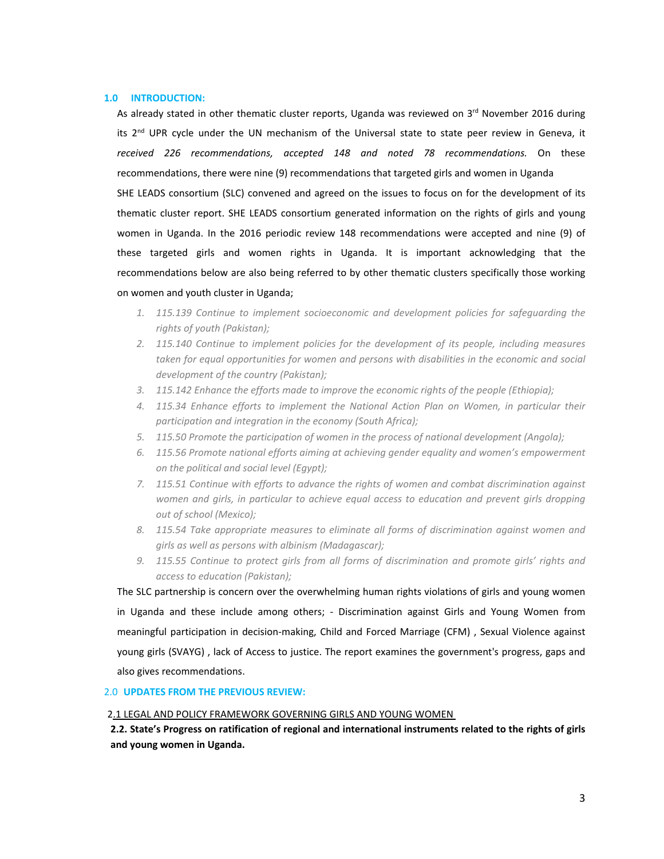#### **1.0 INTRODUCTION:**

As already stated in other thematic cluster reports, Uganda was reviewed on 3<sup>rd</sup> November 2016 during its 2<sup>nd</sup> UPR cycle under the UN mechanism of the Universal state to state peer review in Geneva, it *received 226 recommendations, accepted 148 and noted 78 recommendations.* On these recommendations, there were nine (9) recommendations that targeted girls and women in Uganda SHE LEADS consortium (SLC) convened and agreed on the issues to focus on for the development of its thematic cluster report. SHE LEADS consortium generated information on the rights of girls and young women in Uganda. In the 2016 periodic review 148 recommendations were accepted and nine (9) of

these targeted girls and women rights in Uganda. It is important acknowledging that the recommendations below are also being referred to by other thematic clusters specifically those working on women and youth cluster in Uganda;

- *1. 115.139 Continue to implement socioeconomic and development policies for safeguarding the rights of youth (Pakistan);*
- *2. 115.140 Continue to implement policies for the development of its people, including measures taken for equal opportunities for women and persons with disabilities in the economic and social development of the country (Pakistan);*
- *3. 115.142 Enhance the efforts made to improve the economic rights of the people (Ethiopia);*
- *4. 115.34 Enhance efforts to implement the National Action Plan on Women, in particular their participation and integration in the economy (South Africa);*
- *5. 115.50 Promote the participation of women in the process of national development (Angola);*
- *6. 115.56 Promote national efforts aiming at achieving gender equality and women'<sup>s</sup> empowerment on the political and social level (Egypt);*
- *7. 115.51 Continue with efforts to advance the rights of women and combat discrimination against women and girls, in particular to achieve equal access to education and prevent girls dropping out of school (Mexico);*
- *8. 115.54 Take appropriate measures to eliminate all forms of discrimination against women and girls as well as persons with albinism (Madagascar);*
- *9. 115.55 Continue to protect girls from all forms of discrimination and promote girls' rights and access to education (Pakistan);*

The SLC partnership is concern over the overwhelming human rights violations of girls and young women in Uganda and these include among others; - Discrimination against Girls and Young Women from meaningful participation in decision-making, Child and Forced Marriage (CFM) , Sexual Violence against young girls (SVAYG) , lack of Access to justice. The report examines the government's progress, gaps and also gives recommendations.

#### 2.0 **UPDATES FROM THE PREVIOUS REVIEW:**

#### 2.1 LEGAL AND POLICY FRAMEWORK GOVERNING GIRLS AND YOUNG WOMEN

2.2. State's Progress on ratification of regional and international instruments related to the rights of girls **and young women in Uganda.**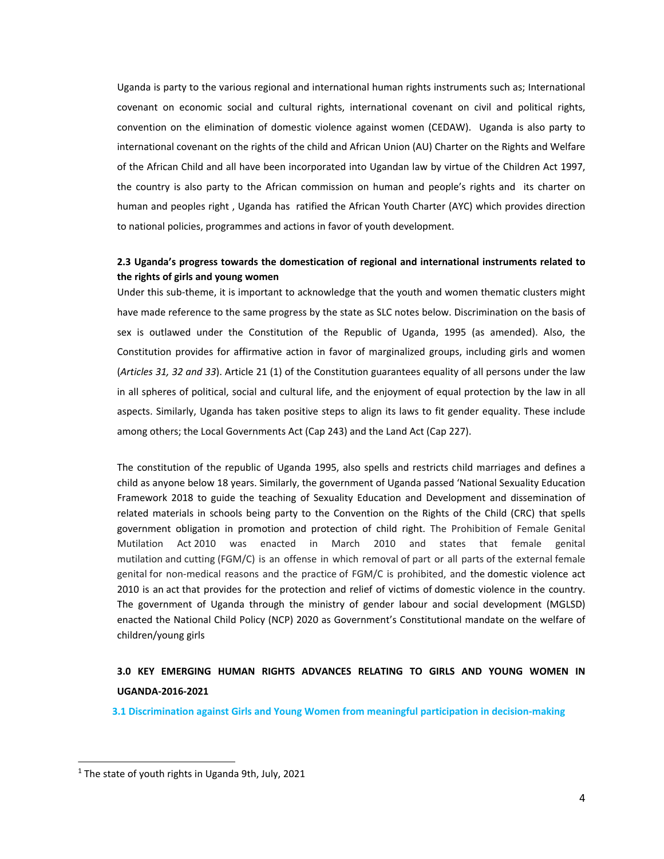Uganda is party to the various regional and international human rights instruments such as; International covenant on economic social and cultural rights, international covenant on civil and political rights, convention on the elimination of domestic violence against women (CEDAW). Uganda is also party to international covenant on the rights of the child and African Union (AU) Charter on the Rights and Welfare of the African Child and all have been incorporated into Ugandan law by virtue of the Children Act 1997, the country is also party to the African commission on human and people'<sup>s</sup> rights and its charter on human and peoples right , Uganda has ratified the African Youth Charter (AYC) which provides direction to national policies, programmes and actions in favor of youth development.

### **2.3 Uganda'<sup>s</sup> progress towards the domestication of regional and international instruments related to the rights of girls and young women**

Under this sub-theme, it is important to acknowledge that the youth and women thematic clusters might have made reference to the same progress by the state as SLC notes below. Discrimination on the basis of sex is outlawed under the Constitution of the Republic of Uganda, 1995 (as amended). Also, the Constitution provides for affirmative action in favor of marginalized groups, including girls and women (*Articles 31, 32 and 33*). Article 21 (1) of the Constitution guarantees equality of all persons under the law in all spheres of political, social and cultural life, and the enjoyment of equal protection by the law in all aspects. Similarly, Uganda has taken positive steps to align its laws to fit gender equality. These include among others; the Local Governments Act (Cap 243) and the Land Act (Cap 227).

The constitution of the republic of Uganda 1995, also spells and restricts child marriages and defines <sup>a</sup> child as anyone below 18 years. Similarly, the government of Uganda passed 'National Sexuality Education Framework 2018 to guide the teaching of Sexuality Education and Development and dissemination of related materials in schools being party to the Convention on the Rights of the Child (CRC) that spells government obligation in promotion and protection of child right. The Prohibition of Female Genital Mutilation Act 2010 was enacted in March 2010 and states that female genital mutilation and cutting (FGM/C) is an offense in which removal of part or all parts of the external female genital for non-medical reasons and the practice of FGM/C is prohibited, and the domestic violence act 2010 is an act that provides for the protection and relief of victims of domestic violence in the country. The government of Uganda through the ministry of gender labour and social development (MGLSD) enacted the National Child Policy (NCP) 2020 as Government'<sup>s</sup> Constitutional mandate on the welfare of children/young girls

## **3.0 KEY EMERGING HUMAN RIGHTS ADVANCES RELATING TO GIRLS AND YOUNG WOMEN IN UGANDA-2016-2021**

**3.1 Discrimination against Girls and Young Women from meaningful participation in decision-making**

<sup>1</sup> The state of youth rights in Uganda 9th, July, 2021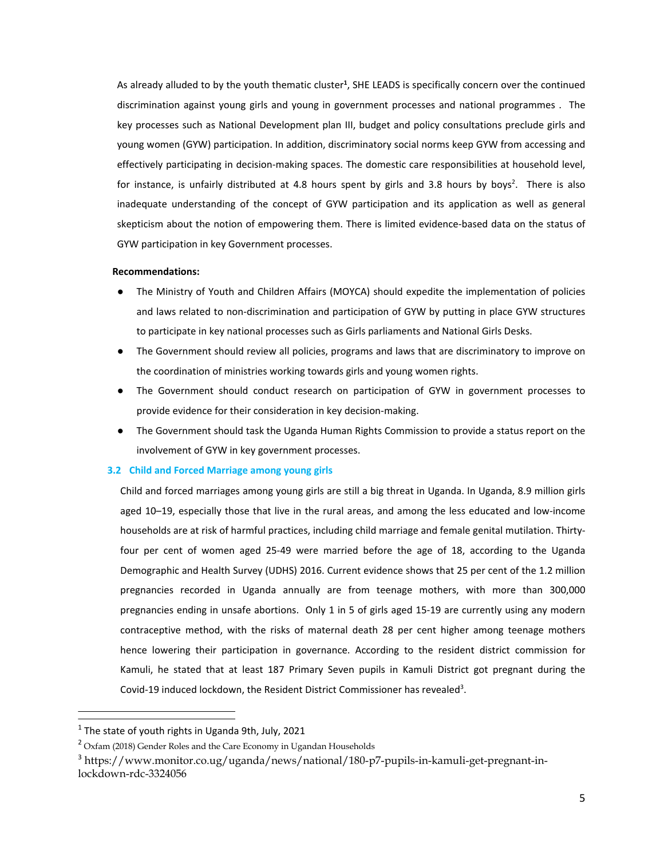As already alluded to by the youth thematic cluster<sup>1</sup>, SHE LEADS is specifically concern over the continued discrimination against young girls and young in government processes and national programmes . The key processes such as National Development plan III, budget and policy consultations preclude girls and young women (GYW) participation. In addition, discriminatory social norms keep GYW from accessing and effectively participating in decision-making spaces. The domestic care responsibilities at household level, for instance, is unfairly distributed at 4.8 hours spent by girls and 3.8 hours by boys<sup>2</sup>. There is also inadequate understanding of the concept of GYW participation and its application as well as general skepticism about the notion of empowering them. There is limited evidence-based data on the status of GYW participation in key Government processes.

#### **Recommendations:**

- ● The Ministry of Youth and Children Affairs (MOYCA) should expedite the implementation of policies and laws related to non-discrimination and participation of GYW by putting in place GYW structures to participate in key national processes such as Girls parliaments and National Girls Desks.
- The Government should review all policies, programs and laws that are discriminatory to improve on the coordination of ministries working towards girls and young women rights.
- The Government should conduct research on participation of GYW in government processes to provide evidence for their consideration in key decision-making.
- The Government should task the Uganda Human Rights Commission to provide <sup>a</sup> status report on the involvement of GYW in key government processes.

#### **3.2 Child and Forced Marriage among young girls**

Child and forced marriages among young girls are still <sup>a</sup> big threat in Uganda. In Uganda, 8.9 million girls aged 10–19, especially those that live in the rural areas, and among the less educated and low-income households are at risk of harmful practices, including child marriage and female genital mutilation. Thirtyfour per cent of women aged 25-49 were married before the age of 18, according to the Uganda Demographic and Health Survey (UDHS) 2016. Current evidence shows that 25 per cent of the 1.2 million pregnancies recorded in Uganda annually are from teenage mothers, with more than 300,000 pregnancies ending in unsafe abortions. Only 1 in 5 of girls aged 15-19 are currently using any modern contraceptive method, with the risks of maternal death 28 per cent higher among teenage mothers hence lowering their participation in governance. According to the resident district commission for Kamuli, he stated that at least 187 Primary Seven pupils in Kamuli District got pregnant during the Covid-19 induced lockdown, the Resident District Commissioner has revealed<sup>3</sup>.

<sup>1</sup> The state of youth rights in Uganda 9th, July, 2021

<sup>&</sup>lt;sup>2</sup> Oxfam (2018) Gender Roles and the Care Economy in Ugandan Households

<sup>&</sup>lt;sup>3</sup> https://www.monitor.co.ug/uganda/news/national/180-p7-pupils-in-kamuli-get-pregnant-inlockdown-rdc-3324056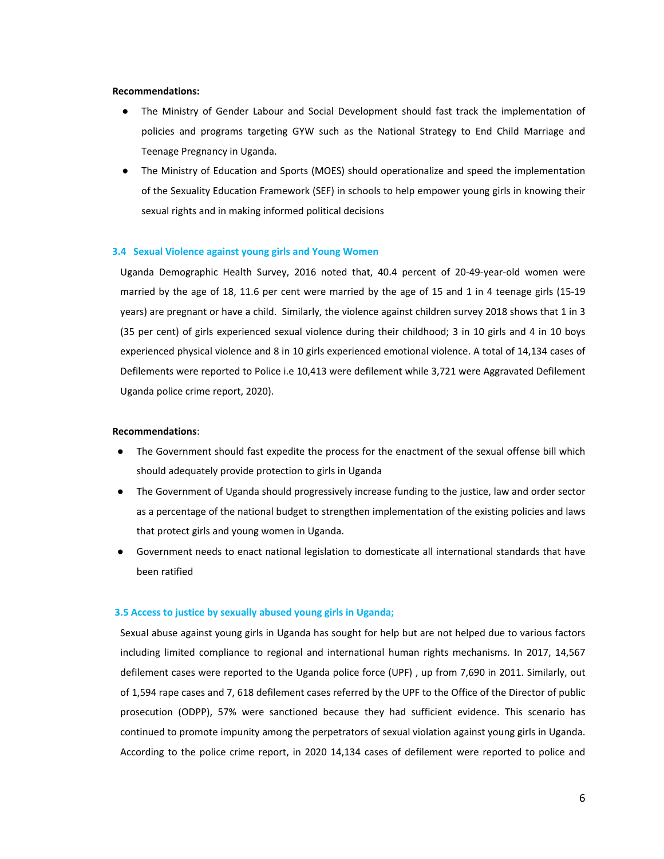#### **Recommendations:**

- ● The Ministry of Gender Labour and Social Development should fast track the implementation of policies and programs targeting GYW such as the National Strategy to End Child Marriage and Teenage Pregnancy in Uganda.
- **●** The Ministry of Education and Sports (MOES) should operationalize and speed the implementation of the Sexuality Education Framework (SEF) in schools to help empower young girls in knowing their sexual rights and in making informed political decisions

#### **3.4 Sexual Violence against young girls and Young Women**

Uganda Demographic Health Survey, 2016 noted that, 40.4 percent of 20-49-year-old women were married by the age of 18, 11.6 per cent were married by the age of 15 and 1 in 4 teenage girls (15-19 years) are pregnant or have <sup>a</sup> child. Similarly, the violence against children survey 2018 shows that 1 in 3 (35 per cent) of girls experienced sexual violence during their childhood; 3 in 10 girls and 4 in 10 boys experienced physical violence and 8 in 10 girls experienced emotional violence. A total of 14,134 cases of Defilements were reported to Police i.e 10,413 were defilement while 3,721 were Aggravated Defilement Uganda police crime report, 2020).

#### **Recommendations**:

- The Government should fast expedite the process for the enactment of the sexual offense bill which should adequately provide protection to girls in Uganda
- The Government of Uganda should progressively increase funding to the justice, law and order sector as <sup>a</sup> percentage of the national budget to strengthen implementation of the existing policies and laws that protect girls and young women in Uganda.
- $\bullet$  Government needs to enact national legislation to domesticate all international standards that have been ratified

#### **3.5 Access to justice by sexually abused young girls in Uganda;**

Sexual abuse against young girls in Uganda has sought for help but are not helped due to various factors including limited compliance to regional and international human rights mechanisms. In 2017, 14,567 defilement cases were reported to the Uganda police force (UPF) , up from 7,690 in 2011. Similarly, out of 1,594 rape cases and 7, 618 defilement cases referred by the UPF to the Office of the Director of public prosecution (ODPP), 57% were sanctioned because they had sufficient evidence. This scenario has continued to promote impunity among the perpetrators of sexual violation against young girls in Uganda. According to the police crime report, in 2020 14,134 cases of defilement were reported to police and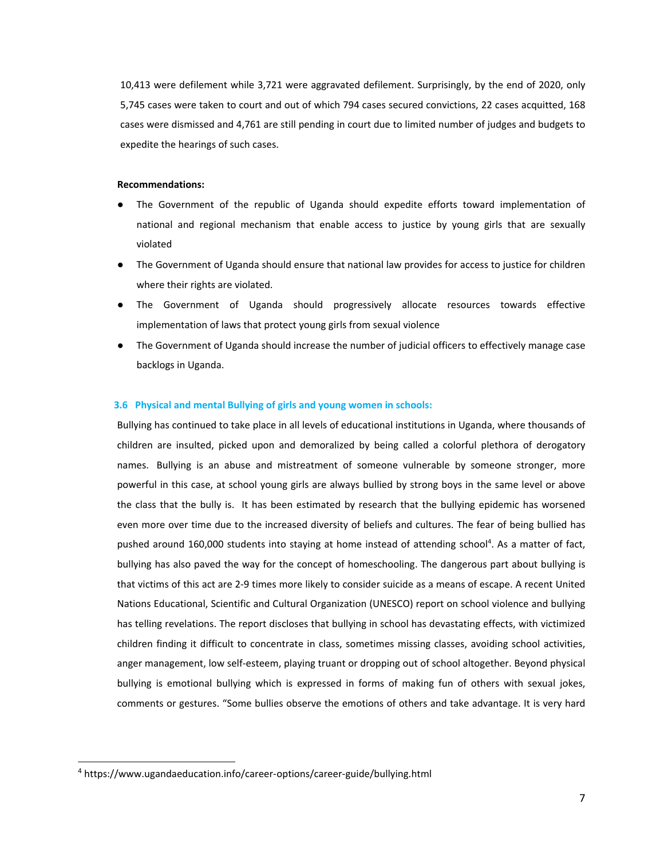10,413 were defilement while 3,721 were aggravated defilement. Surprisingly, by the end of 2020, only 5,745 cases were taken to court and out of which 794 cases secured convictions, 22 cases acquitted, 168 cases were dismissed and 4,761 are still pending in court due to limited number of judges and budgets to expedite the hearings of such cases.

#### **Recommendations:**

- The Government of the republic of Uganda should expedite efforts toward implementation of national and regional mechanism that enable access to justice by young girls that are sexually violated
- The Government of Uganda should ensure that national law provides for access to justice for children where their rights are violated.
- The Government of Uganda should progressively allocate resources towards effective implementation of laws that protect young girls from sexual violence
- The Government of Uganda should increase the number of judicial officers to effectively manage case backlogs in Uganda.

#### **3.6 Physical and mental Bullying of girls and young women in schools:**

Bullying has continued to take place in all levels of educational institutions in Uganda, where thousands of children are insulted, picked upon and demoralized by being called <sup>a</sup> colorful plethora of derogatory names. Bullying is an abuse and mistreatment of someone vulnerable by someone stronger, more powerful in this case, at school young girls are always bullied by strong boys in the same level or above the class that the bully is. It has been estimated by research that the bullying epidemic has worsened even more over time due to the increased diversity of beliefs and cultures. The fear of being bullied has pushed around 160,000 students into staying at home instead of attending school<sup>4</sup>. As a matter of fact, bullying has also paved the way for the concept of homeschooling. The dangerous part about bullying is that victims of this act are 2-9 times more likely to consider suicide as <sup>a</sup> means of escape. A recent United Nations Educational, Scientific and Cultural Organization (UNESCO) report on school violence and bullying has telling revelations. The report discloses that bullying in school has devastating effects, with victimized children finding it difficult to concentrate in class, sometimes missing classes, avoiding school activities, anger management, low self-esteem, playing truant or dropping out of school altogether. Beyond physical bullying is emotional bullying which is expressed in forms of making fun of others with sexual jokes, comments or gestures. "Some bullies observe the emotions of others and take advantage. It is very hard

<sup>4</sup> https://www.ugandaeducation.info/career-options/career-guide/bullying.html